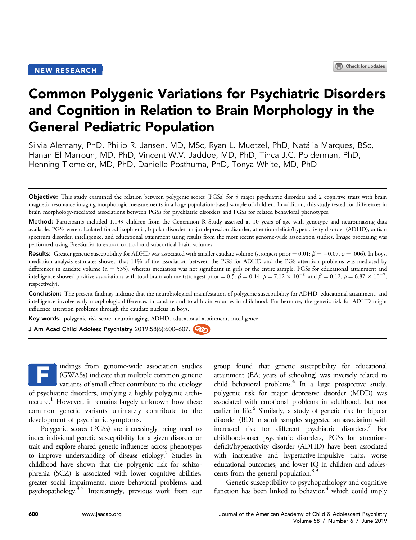# Common Polygenic Variations for Psychiatric Disorders and Cognition in Relation to Brain Morphology in the General Pediatric Population

Silvia Alemany, PhD, Philip R. Jansen, MD, MSc, Ryan L. Muetzel, PhD, Natalia Marques, BSc, Hanan El Marroun, MD, PhD, Vincent W.V. Jaddoe, MD, PhD, Tinca J.C. Polderman, PhD, Henning Tiemeier, MD, PhD, Danielle Posthuma, PhD, Tonya White, MD, PhD

Method: Participants included 1,139 children from the Generation R Study assessed at 10 years of age with genotype and neuroimaging data available. PGSs were calculated for schizophrenia, bipolar disorder, major depression disorder, attention-deficit/hyperactivity disorder (ADHD), autism spectrum disorder, intelligence, and educational attainment using results from the most recent genome-wide association studies. Image processing was performed using FreeSurfer to extract cortical and subcortical brain volumes.

**Results:** Greater genetic susceptibility for ADHD was associated with smaller caudate volume (strongest prior  $= 0.01$ :  $\beta = -0.07$ ,  $p = .006$ ). In boys, mediation analysis estimates showed that 11% of the association between the PGS for ADHD and the PGS attention problems was mediated by differences in caudate volume  $(n = 535)$ , whereas mediation was not significant in girls or the entire sample. PGSs for educational attainment and intelligence showed positive associations with total brain volume (strongest prior = 0.5:  $\beta = 0.14$ ,  $p = 7.12 \times 10^{-8}$ ; and  $\beta = 0.12$ ,  $p = 6.87 \times 10^{-7}$ , respectively).

Conclusion: The present findings indicate that the neurobiological manifestation of polygenic susceptibility for ADHD, educational attainment, and intelligence involve early morphologic differences in caudate and total brain volumes in childhood. Furthermore, the genetic risk for ADHD might influence attention problems through the caudate nucleus in boys.

Key words: polygenic risk score, neuroimaging, ADHD, educational attainment, intelligence

J Am Acad Child Adolesc Psychiatry 2019;58(6):600-607.

indings from genome-wide association studies (GWASs) indicate that multiple common genetic variants of small effect contribute to the etiology of psychiatric disorders, implying a highly polygenic archi-tecture.<sup>[1](#page-6-0)</sup> However, it remains largely unknown how these common genetic variants ultimately contribute to the development of psychiatric symptoms. F

Polygenic scores (PGSs) are increasingly being used to index individual genetic susceptibility for a given disorder or trait and explore shared genetic influences across phenotypes to improve understanding of disease etiology.<sup>2</sup> Studies in childhood have shown that the polygenic risk for schizophrenia (SCZ) is associated with lower cognitive abilities, greater social impairments, more behavioral problems, and psychopathology[.3-5](#page-6-0) Interestingly, previous work from our

group found that genetic susceptibility for educational attainment (EA; years of schooling) was inversely related to child behavioral problems.<sup>4</sup> In a large prospective study, polygenic risk for major depressive disorder (MDD) was associated with emotional problems in adulthood, but not earlier in life.<sup>6</sup> Similarly, a study of genetic risk for bipolar disorder (BD) in adult samples suggested an association with increased risk for different psychiatric disorders.<sup>7</sup> For childhood-onset psychiatric disorders, PGSs for attentiondeficit/hyperactivity disorder (ADHD) have been associated with inattentive and hyperactive-impulsive traits, worse educational outcomes, and lower IQ in children and adolescents from the general population.<sup>8,9</sup>

Genetic susceptibility to psychopathology and cognitive function has been linked to behavior, $4$  which could imply

Objective: This study examined the relation between polygenic scores (PGSs) for 5 major psychiatric disorders and 2 cognitive traits with brain magnetic resonance imaging morphologic measurements in a large population-based sample of children. In addition, this study tested for differences in brain morphology-mediated associations between PGSs for psychiatric disorders and PGSs for related behavioral phenotypes.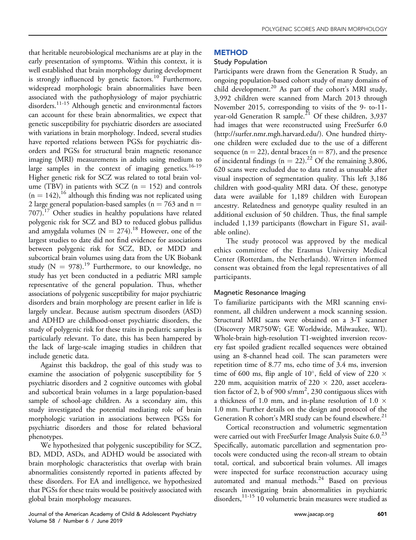that heritable neurobiological mechanisms are at play in the early presentation of symptoms. Within this context, it is well established that brain morphology during development is strongly influenced by genetic factors.<sup>[10](#page-7-0)</sup> Furthermore, widespread morphologic brain abnormalities have been associated with the pathophysiology of major psychiatric disorders.<sup>[11-15](#page-7-0)</sup> Although genetic and environmental factors can account for these brain abnormalities, we expect that genetic susceptibility for psychiatric disorders are associated with variations in brain morphology. Indeed, several studies have reported relations between PGSs for psychiatric disorders and PGSs for structural brain magnetic resonance imaging (MRI) measurements in adults using medium to large samples in the context of imaging genetics.<sup>16-19</sup> Higher genetic risk for SCZ was related to total brain volume (TBV) in patients with SCZ ( $n = 152$ ) and controls  $(n = 142)$ ,<sup>[16](#page-7-0)</sup> although this finding was not replicated using 2 large general population-based samples ( $n = 763$  and  $n =$  $707$ ).<sup>17</sup> Other studies in healthy populations have related polygenic risk for SCZ and BD to reduced globus pallidus and amygdala volumes ( $N = 274$ ).<sup>[18](#page-7-0)</sup> However, one of the largest studies to date did not find evidence for associations between polygenic risk for SCZ, BD, or MDD and subcortical brain volumes using data from the UK Biobank study ( $N = 978$ ).<sup>[19](#page-7-0)</sup> Furthermore, to our knowledge, no study has yet been conducted in a pediatric MRI sample representative of the general population. Thus, whether associations of polygenic susceptibility for major psychiatric disorders and brain morphology are present earlier in life is largely unclear. Because autism spectrum disorders (ASD) and ADHD are childhood-onset psychiatric disorders, the study of polygenic risk for these traits in pediatric samples is particularly relevant. To date, this has been hampered by the lack of large-scale imaging studies in children that include genetic data.

Against this backdrop, the goal of this study was to examine the association of polygenic susceptibility for 5 psychiatric disorders and 2 cognitive outcomes with global and subcortical brain volumes in a large population-based sample of school-age children. As a secondary aim, this study investigated the potential mediating role of brain morphologic variation in associations between PGSs for psychiatric disorders and those for related behavioral phenotypes.

We hypothesized that polygenic susceptibility for SCZ, BD, MDD, ASDs, and ADHD would be associated with brain morphologic characteristics that overlap with brain abnormalities consistently reported in patients affected by these disorders. For EA and intelligence, we hypothesized that PGSs for these traits would be positively associated with global brain morphology measures.

#### Journal of the American Academy of Child & Adolescent Psychiatry [www.jaacap.org](http://www.jaacap.org) 601 Volume 58 / Number 6 / June 2019

# METHOD

# Study Population

Participants were drawn from the Generation R Study, an ongoing population-based cohort study of many domains of child development.<sup>[20](#page-7-0)</sup> As part of the cohort's MRI study, 3,992 children were scanned from March 2013 through November 2015, corresponding to visits of the 9- to-11 year-old Generation R sample.<sup>21</sup> Of these children, 3,937 had images that were reconstructed using FreeSurfer 6.0 ([http://surfer.nmr.mgh.harvard.edu/\)](http://surfer.nmr.mgh.harvard.edu/). One hundred thirtyone children were excluded due to the use of a different sequence ( $n = 22$ ), dental braces ( $n = 87$ ), and the presence of incidental findings ( $n = 22$ ).<sup>22</sup> Of the remaining 3,806, 620 scans were excluded due to data rated as unusable after visual inspection of segmentation quality. This left 3,186 children with good-quality MRI data. Of these, genotype data were available for 1,189 children with European ancestry. Relatedness and genotype quality resulted in an additional exclusion of 50 children. Thus, the final sample included 1,139 participants (flowchart in Figure S1, available online).

The study protocol was approved by the medical ethics committee of the Erasmus University Medical Center (Rotterdam, the Netherlands). Written informed consent was obtained from the legal representatives of all participants.

# Magnetic Resonance Imaging

To familiarize participants with the MRI scanning environment, all children underwent a mock scanning session. Structural MRI scans were obtained on a 3-T scanner (Discovery MR750W; GE Worldwide, Milwaukee, WI). Whole-brain high-resolution T1-weighted inversion recovery fast spoiled gradient recalled sequences were obtained using an 8-channel head coil. The scan parameters were repetition time of 8.77 ms, echo time of 3.4 ms, inversion time of 600 ms, flip angle of 10°, field of view of 220  $\times$ 220 mm, acquisition matrix of 220  $\times$  220, asset acceleration factor of 2, b of 900 s/mm<sup>2</sup>, 230 contiguous slices with a thickness of 1.0 mm, and in-plane resolution of 1.0  $\times$ 1.0 mm. Further details on the design and protocol of the Generation R cohort's MRI study can be found elsewhere.<sup>[21](#page-7-0)</sup>

Cortical reconstruction and volumetric segmentation were carried out with FreeSurfer Image Analysis Suite 6.0.<sup>23</sup> Specifically, automatic parcellation and segmentation protocols were conducted using the recon-all stream to obtain total, cortical, and subcortical brain volumes. All images were inspected for surface reconstruction accuracy using automated and manual methods.[24](#page-7-0) Based on previous research investigating brain abnormalities in psychiatric disorders,<sup>[11-15](#page-7-0)</sup> 10 volumetric brain measures were studied as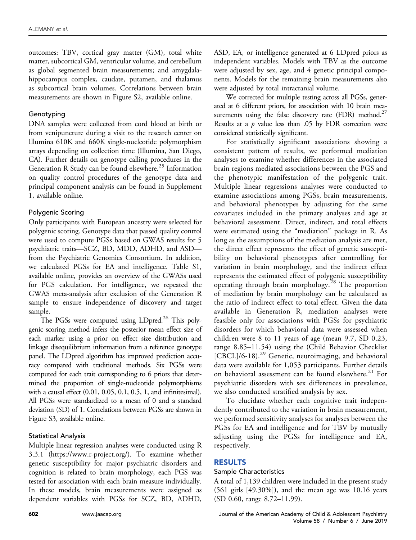outcomes: TBV, cortical gray matter (GM), total white matter, subcortical GM, ventricular volume, and cerebellum as global segmented brain measurements; and amygdalahippocampus complex, caudate, putamen, and thalamus as subcortical brain volumes. Correlations between brain measurements are shown in Figure S2, available online.

# Genotyping

DNA samples were collected from cord blood at birth or from venipuncture during a visit to the research center on Illumina 610K and 660K single-nucleotide polymorphism arrays depending on collection time (Illumina, San Diego, CA). Further details on genotype calling procedures in the Generation R Study can be found elsewhere.<sup>[25](#page-7-0)</sup> Information on quality control procedures of the genotype data and principal component analysis can be found in Supplement 1, available online.

# Polygenic Scoring

Only participants with European ancestry were selected for polygenic scoring. Genotype data that passed quality control were used to compute PGSs based on GWAS results for 5 psychiatric traits—SCZ, BD, MDD, ADHD, and ASD from the Psychiatric Genomics Consortium. In addition, we calculated PGSs for EA and intelligence. Table S1, available online, provides an overview of the GWASs used for PGS calculation. For intelligence, we repeated the GWAS meta-analysis after exclusion of the Generation R sample to ensure independence of discovery and target sample.

The PGSs were computed using LDpred.<sup>26</sup> This polygenic scoring method infers the posterior mean effect size of each marker using a prior on effect size distribution and linkage disequilibrium information from a reference genotype panel. The LDpred algorithm has improved prediction accuracy compared with traditional methods. Six PGSs were computed for each trait corresponding to 6 priors that determined the proportion of single-nucleotide polymorphisms with a causal effect (0.01, 0.05, 0.1, 0.5, 1, and infinitesimal). All PGSs were standardized to a mean of 0 and a standard deviation (SD) of 1. Correlations between PGSs are shown in Figure S3, available online.

# Statistical Analysis

Multiple linear regression analyses were conducted using R 3.3.1 ([https://www.r-project.org/\)](https://www.r-project.org/). To examine whether genetic susceptibility for major psychiatric disorders and cognition is related to brain morphology, each PGS was tested for association with each brain measure individually. In these models, brain measurements were assigned as dependent variables with PGSs for SCZ, BD, ADHD,

ASD, EA, or intelligence generated at 6 LDpred priors as independent variables. Models with TBV as the outcome were adjusted by sex, age, and 4 genetic principal components. Models for the remaining brain measurements also were adjusted by total intracranial volume.

We corrected for multiple testing across all PGSs, generated at 6 different priors, for association with 10 brain measurements using the false discovery rate (FDR) method.<sup>27</sup> Results at a  $p$  value less than .05 by FDR correction were considered statistically significant.

For statistically significant associations showing a consistent pattern of results, we performed mediation analyses to examine whether differences in the associated brain regions mediated associations between the PGS and the phenotypic manifestation of the polygenic trait. Multiple linear regressions analyses were conducted to examine associations among PGSs, brain measurements, and behavioral phenotypes by adjusting for the same covariates included in the primary analyses and age at behavioral assessment. Direct, indirect, and total effects were estimated using the "mediation" package in R. As long as the assumptions of the mediation analysis are met, the direct effect represents the effect of genetic susceptibility on behavioral phenotypes after controlling for variation in brain morphology, and the indirect effect represents the estimated effect of polygenic susceptibility operating through brain morphology.[28](#page-7-0) The proportion of mediation by brain morphology can be calculated as the ratio of indirect effect to total effect. Given the data available in Generation R, mediation analyses were feasible only for associations with PGSs for psychiatric disorders for which behavioral data were assessed when children were 8 to 11 years of age (mean 9.7, SD 0.23, range 8.85–11.54) using the (Child Behavior Checklist  $[CBCL]/6-18$ .<sup>[29](#page-7-0)</sup> Genetic, neuroimaging, and behavioral data were available for 1,053 participants. Further details on behavioral assessment can be found elsewhere.<sup>[21](#page-7-0)</sup> For psychiatric disorders with sex differences in prevalence, we also conducted stratified analysis by sex.

To elucidate whether each cognitive trait independently contributed to the variation in brain measurement, we performed sensitivity analyses for analyses between the PGSs for EA and intelligence and for TBV by mutually adjusting using the PGSs for intelligence and EA, respectively.

# RESULTS

# Sample Characteristics

A total of 1,139 children were included in the present study (561 girls [49.30%]), and the mean age was 10.16 years (SD 0.60, range 8.72–11.99).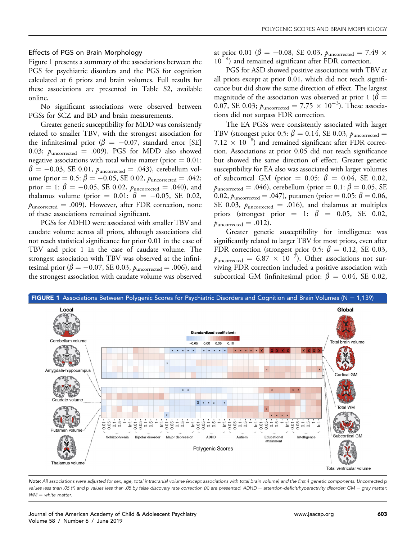#### Effects of PGS on Brain Morphology

Figure 1 presents a summary of the associations between the PGS for psychiatric disorders and the PGS for cognition calculated at 6 priors and brain volumes. Full results for these associations are presented in Table S2, available online.

No significant associations were observed between PGSs for SCZ and BD and brain measurements.

Greater genetic susceptibility for MDD was consistently related to smaller TBV, with the strongest association for the infinitesimal prior ( $\beta = -0.07$ , standard error [SE] 0.03;  $p_{\text{uncorrected}} = .009$ ). PGS for MDD also showed negative associations with total white matter (prior  $= 0.01$ :  $\beta = -0.03$ , SE 0.01,  $p_{\text{uncorrected}} = .043$ ), cerebellum volume (prior =  $0.5: \beta = -0.05$ , SE 0.02,  $p_{\text{uncorrected}} = .042;$ prior = 1:  $\beta$  = -0.05, SE 0.02,  $p_{\text{uncorrected}} = .040$ ), and thalamus volume (prior =  $0.01: \beta = -0.05$ , SE 0.02,  $p_{\text{uncorrected}} = .009$ . However, after FDR correction, none of these associations remained significant.

PGSs for ADHD were associated with smaller TBV and caudate volume across all priors, although associations did not reach statistical significance for prior 0.01 in the case of TBV and prior 1 in the case of caudate volume. The strongest association with TBV was observed at the infinitesimal prior ( $\beta = -0.07$ , SE 0.03,  $\rho_{\rm uncorrected} = .006$ ), and the strongest association with caudate volume was observed

at prior 0.01 ( $\beta$  = -0.08, SE 0.03,  $p_{\text{uncorrected}} = 7.49 \times$ 10<sup>-4</sup>) and remained significant after FDR correction.

PGS for ASD showed positive associations with TBV at all priors except at prior 0.01, which did not reach significance but did show the same direction of effect. The largest magnitude of the association was observed at prior 1 ( $\beta$  = 0.07, SE 0.03;  $p_{\text{uncorrected}} = 7.75 \times 10^{-3}$ ). These associations did not surpass FDR correction.

The EA PGSs were consistently associated with larger TBV (strongest prior 0.5:  $\beta = 0.14$ , SE 0.03,  $p_{\text{uncorrected}} =$  $7.12 \times 10^{-8}$ ) and remained significant after FDR correction. Associations at prior 0.05 did not reach significance but showed the same direction of effect. Greater genetic susceptibility for EA also was associated with larger volumes of subcortical GM (prior = 0.05:  $\beta$  = 0.04, SE 0.02,  $p_{\text{uncorrected}} = .046$ , cerebellum (prior  $= 0.1: \beta = 0.05$ , SE 0.02,  $p_{\text{uncorrected}} = .047$ , putamen (prior = 0.05:  $\beta = 0.06$ , SE 0.03,  $p_{\text{uncorrected}} = .016$ , and thalamus at multiples priors (strongest prior  $= 1$ :  $\beta = 0.05$ , SE 0.02,  $p_{\text{uncorrected}} = .012$ ).

Greater genetic susceptibility for intelligence was significantly related to larger TBV for most priors, even after FDR correction (strongest prior 0.5:  $\beta = 0.12$ , SE 0.03,  $p_{\text{uncorrected}} = 6.87 \times 10^{-7}$ ). Other associations not surviving FDR correction included a positive association with subcortical GM (infinitesimal prior:  $\beta = 0.04$ , SE 0.02,



Note: All associations were adjusted for sex, age, total intracranial volume (except associations with total brain volume) and the first 4 genetic components. Uncorrected p values less than .05 (\*) and p values less than .05 by false discovery rate correction (X) are presented. ADHD = attention-deficit/hyperactivity disorder; GM = gray matter;  $WM = white$  matter.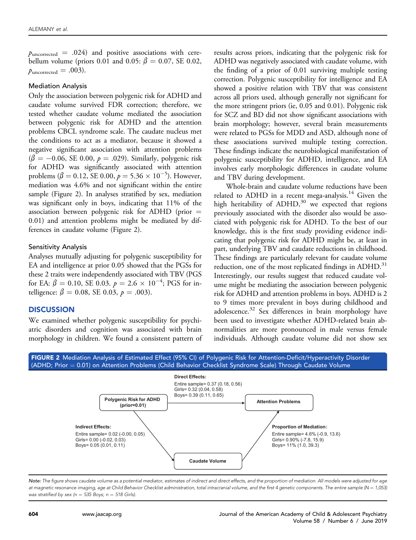$p_{\text{uncorrected}} = .024$ ) and positive associations with cerebellum volume (priors 0.01 and 0.05:  $\beta = 0.07$ , SE 0.02,  $p_{\text{uncorrected}} = .003$ ).

#### Mediation Analysis

Only the association between polygenic risk for ADHD and caudate volume survived FDR correction; therefore, we tested whether caudate volume mediated the association between polygenic risk for ADHD and the attention problems CBCL syndrome scale. The caudate nucleus met the conditions to act as a mediator, because it showed a negative significant association with attention problems  $(\beta = -0.06, \text{ SE } 0.00, p = .029)$ . Similarly, polygenic risk for ADHD was significantly associated with attention problems ( $\beta = 0.12$ , SE 0.00,  $p = 5.36 \times 10^{-5}$ ). However, mediation was 4.6% and not significant within the entire sample (Figure 2). In analyses stratified by sex, mediation was significant only in boys, indicating that 11% of the association between polygenic risk for ADHD (prior  $=$ 0.01) and attention problems might be mediated by differences in caudate volume (Figure 2).

#### Sensitivity Analysis

Analyses mutually adjusting for polygenic susceptibility for EA and intelligence at prior 0.05 showed that the PGSs for these 2 traits were independently associated with TBV (PGS for EA:  $\beta = 0.10$ , SE 0.03.  $p = 2.6 \times 10^{-4}$ ; PGS for intelligence:  $\beta = 0.08$ , SE 0.03,  $p = .003$ ).

#### **DISCUSSION**

We examined whether polygenic susceptibility for psychiatric disorders and cognition was associated with brain morphology in children. We found a consistent pattern of results across priors, indicating that the polygenic risk for ADHD was negatively associated with caudate volume, with the finding of a prior of 0.01 surviving multiple testing correction. Polygenic susceptibility for intelligence and EA showed a positive relation with TBV that was consistent across all priors used, although generally not significant for the more stringent priors (ie, 0.05 and 0.01). Polygenic risk for SCZ and BD did not show significant associations with brain morphology; however, several brain measurements were related to PGSs for MDD and ASD, although none of these associations survived multiple testing correction. These findings indicate the neurobiological manifestation of polygenic susceptibility for ADHD, intelligence, and EA involves early morphologic differences in caudate volume and TBV during development.

Whole-brain and caudate volume reductions have been related to ADHD in a recent mega-analysis.<sup>14</sup> Given the high heritability of  $ADHD<sup>30</sup>$  $ADHD<sup>30</sup>$  $ADHD<sup>30</sup>$ , we expected that regions previously associated with the disorder also would be associated with polygenic risk for ADHD. To the best of our knowledge, this is the first study providing evidence indicating that polygenic risk for ADHD might be, at least in part, underlying TBV and caudate reductions in childhood. These findings are particularly relevant for caudate volume reduction, one of the most replicated findings in ADHD.<sup>31</sup> Interestingly, our results suggest that reduced caudate volume might be mediating the association between polygenic risk for ADHD and attention problems in boys. ADHD is 2 to 9 times more prevalent in boys during childhood and adolescence.<sup>[32](#page-7-0)</sup> Sex differences in brain morphology have been used to investigate whether ADHD-related brain abnormalities are more pronounced in male versus female individuals. Although caudate volume did not show sex



Note: The figure shows caudate volume as a potential mediator, estimates of indirect and direct effects, and the proportion of mediation. All models were adjusted for age at magnetic resonance imaging, age at Child Behavior Checklist administration, total intracranial volume, and the first 4 genetic components. The entire sample (N = 1,053) was stratified by sex ( $n = 535$  Boys;  $n = 518$  Girls).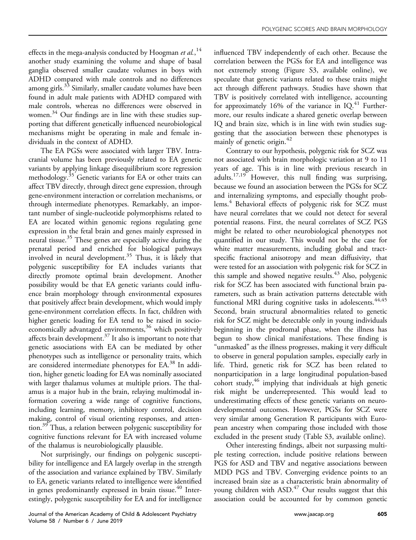effects in the mega-analysis conducted by Hoogman et al.,  $^{14}$  $^{14}$  $^{14}$ another study examining the volume and shape of basal ganglia observed smaller caudate volumes in boys with ADHD compared with male controls and no differences among girls.<sup>[33](#page-7-0)</sup> Similarly, smaller caudate volumes have been found in adult male patients with ADHD compared with male controls, whereas no differences were observed in women.<sup>34</sup> Our findings are in line with these studies supporting that different genetically influenced neurobiological mechanisms might be operating in male and female individuals in the context of ADHD.

The EA PGSs were associated with larger TBV. Intracranial volume has been previously related to EA genetic variants by applying linkage disequilibrium score regression methodology.<sup>35</sup> Genetic variants for EA or other traits can affect TBV directly, through direct gene expression, through gene-environment interaction or correlation mechanisms, or through intermediate phenotypes. Remarkably, an important number of single-nucleotide polymorphisms related to EA are located within genomic regions regulating gene expression in the fetal brain and genes mainly expressed in neural tissue.<sup>[35](#page-7-0)</sup> These genes are especially active during the prenatal period and enriched for biological pathways involved in neural development.<sup>35</sup> Thus, it is likely that polygenic susceptibility for EA includes variants that directly promote optimal brain development. Another possibility would be that EA genetic variants could influence brain morphology through environmental exposures that positively affect brain development, which would imply gene-environment correlation effects. In fact, children with higher genetic loading for EA tend to be raised in socioeconomically advantaged environments,<sup>36</sup> which positively affects brain development[.37](#page-7-0) It also is important to note that genetic associations with EA can be mediated by other phenotypes such as intelligence or personality traits, which are considered intermediate phenotypes for EA.<sup>[38](#page-7-0)</sup> In addition, higher genetic loading for EA was nominally associated with larger thalamus volumes at multiple priors. The thalamus is a major hub in the brain, relaying multimodal information covering a wide range of cognitive functions, including learning, memory, inhibitory control, decision making, control of visual orienting responses, and attention.<sup>39</sup> Thus, a relation between polygenic susceptibility for cognitive functions relevant for EA with increased volume of the thalamus is neurobiologically plausible.

Not surprisingly, our findings on polygenic susceptibility for intelligence and EA largely overlap in the strength of the association and variance explained by TBV. Similarly to EA, genetic variants related to intelligence were identified in genes predominantly expressed in brain tissue.<sup>[40](#page-7-0)</sup> Interestingly, polygenic susceptibility for EA and for intelligence influenced TBV independently of each other. Because the correlation between the PGSs for EA and intelligence was not extremely strong (Figure S3, available online), we speculate that genetic variants related to these traits might act through different pathways. Studies have shown that TBV is positively correlated with intelligence, accounting for approximately 16% of the variance in  $IQ.^{41}$  Furthermore, our results indicate a shared genetic overlap between IQ and brain size, which is in line with twin studies suggesting that the association between these phenotypes is mainly of genetic origin.<sup>[42](#page-7-0)</sup>

Contrary to our hypothesis, polygenic risk for SCZ was not associated with brain morphologic variation at 9 to 11 years of age. This is in line with previous research in adults.<sup>17,19</sup> However, this null finding was surprising, because we found an association between the PGSs for SCZ and internalizing symptoms, and especially thought problems[.4](#page-6-0) Behavioral effects of polygenic risk for SCZ must have neural correlates that we could not detect for several potential reasons. First, the neural correlates of SCZ PGS might be related to other neurobiological phenotypes not quantified in our study. This would not be the case for white matter measurements, including global and tractspecific fractional anisotropy and mean diffusivity, that were tested for an association with polygenic risk for SCZ in this sample and showed negative results.<sup>[43](#page-7-0)</sup> Also, polygenic risk for SCZ has been associated with functional brain parameters, such as brain activation patterns detectable with functional MRI during cognitive tasks in adolescents.<sup>[44,45](#page-7-0)</sup> Second, brain structural abnormalities related to genetic risk for SCZ might be detectable only in young individuals beginning in the prodromal phase, when the illness has begun to show clinical manifestations. These finding is "unmasked" as the illness progresses, making it very difficult to observe in general population samples, especially early in life. Third, genetic risk for SCZ has been related to nonparticipation in a large longitudinal population-based cohort study,  $46$  implying that individuals at high genetic risk might be underrepresented. This would lead to underestimating effects of these genetic variants on neurodevelopmental outcomes. However, PGSs for SCZ were very similar among Generation R participants with European ancestry when comparing those included with those excluded in the present study (Table S3, available online).

Other interesting findings, albeit not surpassing multiple testing correction, include positive relations between PGS for ASD and TBV and negative associations between MDD PGS and TBV. Converging evidence points to an increased brain size as a characteristic brain abnormality of young children with  $ASD<sup>47</sup>$  $ASD<sup>47</sup>$  $ASD<sup>47</sup>$  Our results suggest that this association could be accounted for by common genetic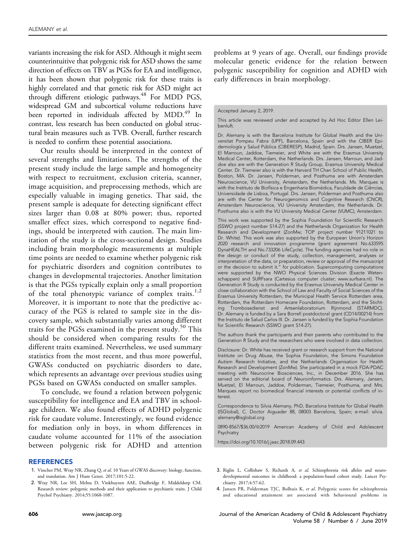<span id="page-6-0"></span>variants increasing the risk for ASD. Although it might seem counterintuitive that polygenic risk for ASD shows the same direction of effects on TBV as PGSs for EA and intelligence, it has been shown that polygenic risk for these traits is highly correlated and that genetic risk for ASD might act through different etiologic pathways.<sup>48</sup> For MDD PGS, widespread GM and subcortical volume reductions have been reported in individuals affected by MDD.<sup>49</sup> In contrast, less research has been conducted on global structural brain measures such as TVB. Overall, further research is needed to confirm these potential associations.

Our results should be interpreted in the context of several strengths and limitations. The strengths of the present study include the large sample and homogeneity with respect to recruitment, exclusion criteria, scanner, image acquisition, and preprocessing methods, which are especially valuable in imaging genetics. That said, the present sample is adequate for detecting significant effect sizes larger than 0.08 at 80% power; thus, reported smaller effect sizes, which correspond to negative findings, should be interpreted with caution. The main limitation of the study is the cross-sectional design. Studies including brain morphologic measurements at multiple time points are needed to examine whether polygenic risk for psychiatric disorders and cognition contributes to changes in developmental trajectories. Another limitation is that the PGSs typically explain only a small proportion of the total phenotypic variance of complex traits.<sup>1,2</sup> Moreover, it is important to note that the predictive accuracy of the PGS is related to sample size in the discovery sample, which substantially varies among different traits for the PGSs examined in the present study.<sup>[50](#page-7-0)</sup> This should be considered when comparing results for the different traits examined. Nevertheless, we used summary statistics from the most recent, and thus more powerful, GWASs conducted on psychiatric disorders to date, which represents an advantage over previous studies using PGSs based on GWASs conducted on smaller samples.

To conclude, we found a relation between polygenic susceptibility for intelligence and EA and TBV in schoolage children. We also found effects of ADHD polygenic risk for caudate volume. Interestingly, we found evidence for mediation only in boys, in whom differences in caudate volume accounted for 11% of the association between polygenic risk for ADHD and attention

#### REFERENCES

- 1. Visscher PM, Wray NR, Zhang Q, et al. 10 Years of GWAS discovery: biology, function, and translation. Am J Hum Genet. 2017;101:5-22.
- 2. Wray NR, Lee SH, Mehta D, Vinkhuyzen AAE, Dudbridge F, Middeldorp CM. Research review: polygenic methods and their application to psychiatric traits. J Child Psychol Psychiatry. 2014;55:1068-1087.

problems at 9 years of age. Overall, our findings provide molecular genetic evidence for the relation between polygenic susceptibility for cognition and ADHD with early differences in brain morphology.

#### Accepted January 2, 2019.

This article was reviewed under and accepted by Ad Hoc Editor Ellen Leibenluft.

Dr. Alemany is with the Barcelona Institute for Global Health and the Universitat Pompeu Fabra (UPF), Barcelona, Spain and with the CIBER Epidemiología y Salud Pública (CIBERESP), Madrid, Spain. Drs. Jansen, Muetzel, El Marroun, Jaddoe, Tiemeier, and White are with the Erasmus University Medical Center, Rotterdam, the Netherlands. Drs. Jansen, Marroun, and Jaddoe also are with the Generation R Study Group, Erasmus University Medical Center. Dr. Tiemeier also is with the Harvard TH Chan School of Public Health, Boston, MA. Dr. Jansen, Polderman, and Posthuma are with Amsterdam Neuroscience, VU University, Amsterdam, the Netherlands. Ms. Marques is with the Instituto de Biofísica e Engenharia Biomédica, Faculdade de Ciências, Universidade de Lisboa, Portugal. Drs. Jansen, Polderman and Posthuma also are with the Center for Neurogenomics and Cognitive Research (CNCR), Amsterdam Neuroscience, VU University Amsterdam, the Netherlands. Dr. Posthuma also is with the VU University Medical Center (VUMC), Amsterdam.

This work was supported by the Sophia Foundation for Scientific Research (SSWO project number S14-27) and the Netherlands Organization for Health Research and Development (ZonMw; TOP project number 91211021 to Dr. White). This work was also supported by the European Union's Horizon 2020 research and innovation programme (grant agreement No.633595 DynaHEALTH and No.733206 LifeCycle). The funding agencies had no role in the design or conduct of the study, collection, management, analyses or interpretation of the data, or preparation, review or approval of the manuscript or the decision to submit it." for publication. Supercomputing computations were supported by the NWO Physical Sciences Division (Exacte Wetenschappen) and SURFsara (Cartesius computer cluster; [www.surfsara.nl](http://www.surfsara.nl)). The Generation R Study is conducted by the Erasmus University Medical Center in close collaboration with the School of Law and Faculty of Social Sciences of the Erasmus University Rotterdam, the Municipal Health Service Rotterdam area, Rotterdam, the Rotterdam Homecare Foundation, Rotterdam, and the Stichting Trombosedienst and Artsenlaboratorium Rijnmond (STARMDC). Dr. Alemany is funded by a Sara Borrell postdoctoral grant (CD14/00214) from the Instituto de Salud Carlos III. Dr. Jansen is funded by the Sophia Foundation for Scientific Research (SSWO grant S14-27).

The authors thank the participants and their parents who contributed to the Generation R Study and the researchers who were involved in data collection.

Disclosure: Dr. White has received grant or research support from the National Institute on Drug Abuse, the Sophia Foundation, the Simons Foundation Autism Research Initiative, and the Netherlands Organisation for Health Research and Development (ZonMw). She participated in a mock FDA-PDAC meeting with Neurocrine Biosciences, Inc., in December 2016. She has served on the editorial board of Neuroinformatics. Drs. Alemany, Jansen, Muetzel, El Marroun, Jaddoe, Polderman, Tiemeier, Posthuma, and Mrs. Marques report no biomedical financial interests or potential conflicts of interest.

Correspondence to Silvia Alemany, PhD, Barcelona Institute for Global Health (ISGlobal), C. Doctor Aiguader 88, 08003 Barcelona, Spain; e-mail: [silvia.](mailto:silvia.alemany@isglobal.org) [alemany@isglobal.org](mailto:silvia.alemany@isglobal.org)

0890-8567/\$36.00/@2019 American Academy of Child and Adolescent Psychiatry

<https://doi.org/10.1016/j.jaac.2018.09.443>

- 3. Riglin L, Collishaw S, Richards A, et al. Schizophrenia risk alleles and neurodevelopmental outcomes in childhood: a population-based cohort study. Lancet Psychiatry. 2017;4:57-62.
- 4. Jansen PR, Polderman TJC, Bolhuis K, et al. Polygenic scores for schizophrenia and educational attainment are associated with behavioural problems in